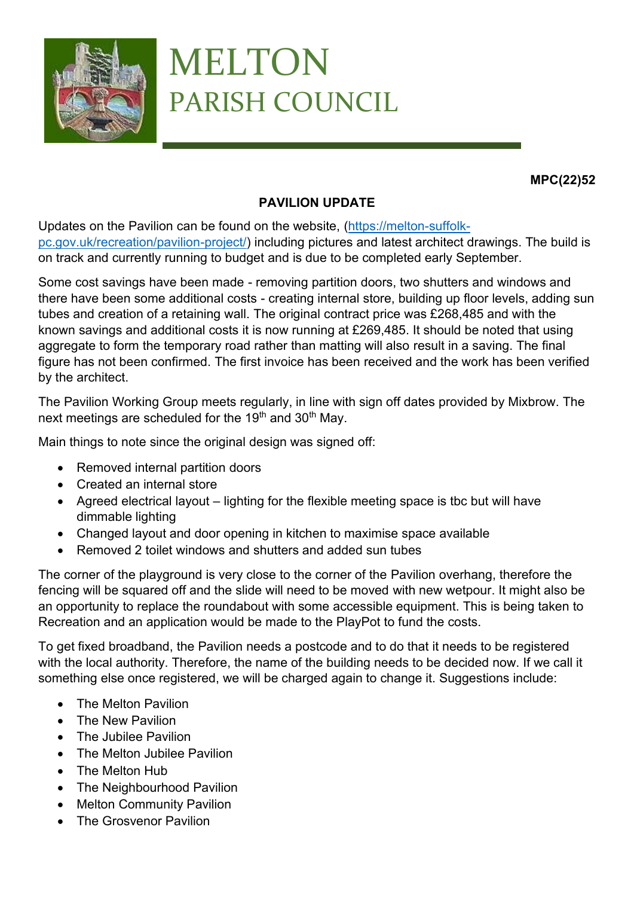

## MELTON PARISH COUNCIL

**MPC(22)52**

## **PAVILION UPDATE**

Updates on the Pavilion can be found on the website, [\(https://melton-suffolk](https://melton-suffolk-pc.gov.uk/recreation/pavilion-project/)[pc.gov.uk/recreation/pavilion-project/\)](https://melton-suffolk-pc.gov.uk/recreation/pavilion-project/) including pictures and latest architect drawings. The build is on track and currently running to budget and is due to be completed early September.

Some cost savings have been made - removing partition doors, two shutters and windows and there have been some additional costs - creating internal store, building up floor levels, adding sun tubes and creation of a retaining wall. The original contract price was £268,485 and with the known savings and additional costs it is now running at £269,485. It should be noted that using aggregate to form the temporary road rather than matting will also result in a saving. The final figure has not been confirmed. The first invoice has been received and the work has been verified by the architect.

The Pavilion Working Group meets regularly, in line with sign off dates provided by Mixbrow. The next meetings are scheduled for the 19<sup>th</sup> and 30<sup>th</sup> May.

Main things to note since the original design was signed off:

- Removed internal partition doors
- Created an internal store
- Agreed electrical layout lighting for the flexible meeting space is tbc but will have dimmable lighting
- Changed layout and door opening in kitchen to maximise space available
- Removed 2 toilet windows and shutters and added sun tubes

The corner of the playground is very close to the corner of the Pavilion overhang, therefore the fencing will be squared off and the slide will need to be moved with new wetpour. It might also be an opportunity to replace the roundabout with some accessible equipment. This is being taken to Recreation and an application would be made to the PlayPot to fund the costs.

To get fixed broadband, the Pavilion needs a postcode and to do that it needs to be registered with the local authority. Therefore, the name of the building needs to be decided now. If we call it something else once registered, we will be charged again to change it. Suggestions include:

- The Melton Pavilion
- The New Pavilion
- The Jubilee Pavilion
- The Melton Jubilee Pavilion
- The Melton Hub
- The Neighbourhood Pavilion
- Melton Community Pavilion
- The Grosvenor Pavilion